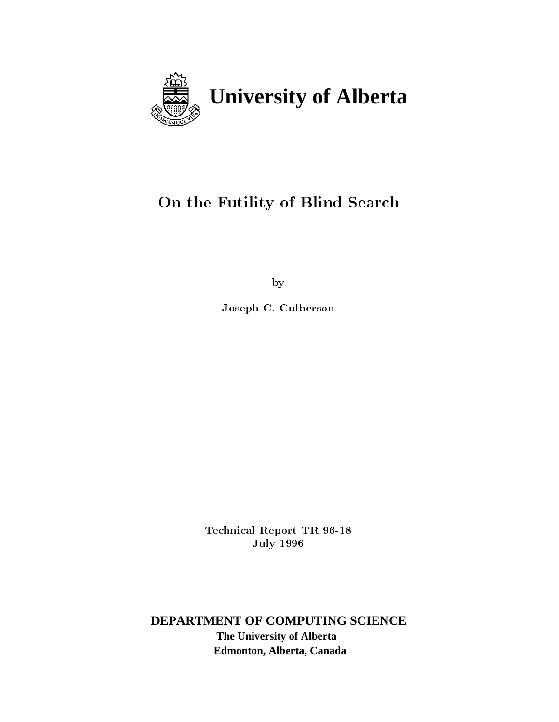

# On the Futility of Blind Search

by

Joseph C. Culberson

Technical Report TR - **July 1996** 

**DEPARTMENT OF COMPUTING SCIENCE The University of Alberta Edmonton, Alberta, Canada**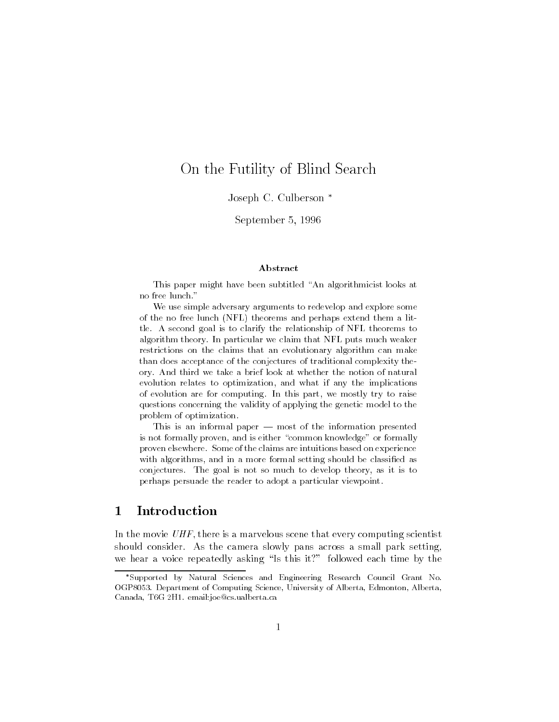### On the Futility of Blind Search

Joseph C. Culberson<sup>\*</sup>

september - september - september - september - september - september - september - september - september - se

#### Abstract

This paper might have been subtitled "An algorithmicist looks at no free lunch."

We use simple adversary arguments to redevelop and explore some of the no free lunch (NFL) theorems and perhaps extend them a little A second goal is to clarify the relationship of NFL theorems to algorithm theory. In particular we claim that NFL puts much weaker restrictions on the claims that an evolutionary algorithm can make than does acceptance of the conjectures of traditional complexity the ory And third we take a brief look at whether the notion of natural evolution relates to optimization, and what if any the implications of evolution are for computing. In this part, we mostly try to raise questions concerning the validity of applying the genetic model to the problem of optimization

This is an informal paper  $-$  most of the information presented is not formally proven and is either common knowledge- or formally proven elsewhere. Some of the claims are intuitions based on experience with algorithms, and in a more formal setting should be classified as conjectures The goal is not so much to develop theory as it is to perhaps persuade the reader to adopt a particular viewpoint

### Introduction

In the movie  $UHF$ , there is a marvelous scene that every computing scientist should consider. As the camera slowly pans across a small park setting, we hear a voice repeated each time by this it followed each time by this it follows. It follows the set of  $\mathbf{A}$ 

Supported by Natural Sciences and Engineering Research Council Grant No OGP- Department of Computing Science University of Alberta Edmonton Alberta community and contract community and contract contracts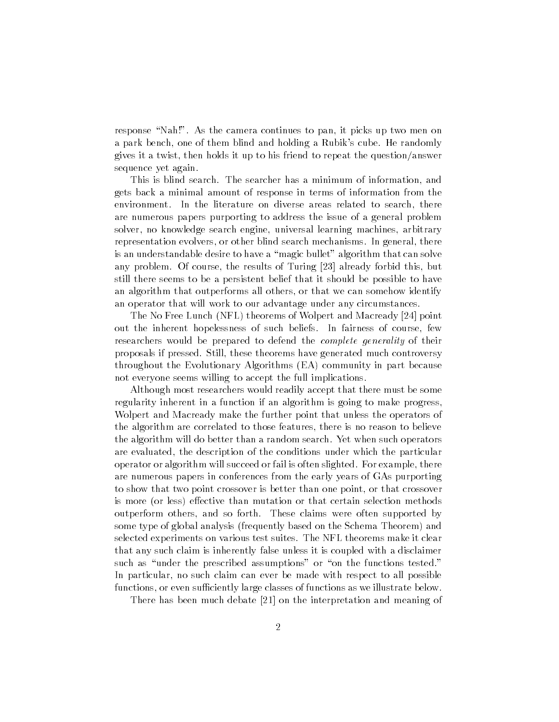response -Nah As the camera continues to pan it picks up two men on a park bench, one of them blind and holding a Rubik's cube. He randomly gives it a twist, then holds it up to his friend to repeat the question/answer sequence yet again

This is blind search. The searcher has a minimum of information, and gets back a minimal amount of response in terms of information from the environment. In the literature on diverse areas related to search, there are numerous papers purporting to address the issue of a general problem solver, no knowledge search engine, universal learning machines, arbitrary representation evolvers, or other blind search mechanisms. In general, there is an understandable desire to have a -magic bullet algorithm that can solve any problem of course, and results of Turing  $\vert$   $\vert$  and the results already  $\vert$  and still there seems to be a persistent belief that it should be possible to have an algorithm that outperforms all others or that we can somehow identify an operator that will work to our advantage under any circumstances

The No Free Lunch and Macready in the No Free Lunch and Macready in the Northern and Macready in the Northern and Ma out the inherent hopelessness of such beliefs. In fairness of course, few researchers would be prepared to defend the *complete generality* of their proposals if pressed. Still, these theorems have generated much controversy throughout the Evolutionary Algorithms (EA) community in part because not everyone seems willing to accept the full implications

Although most researchers would readily accept that there must be some regularity inherent in a function if an algorithm is going to make progress Wolpert and Macready make the further point that unless the operators of the algorithm are correlated to those features, there is no reason to believe the algorithm will do better than a random search Yet when such operators are evaluated, the description of the conditions under which the particular operator or algorithm will succeed or fail is often slighted. For example, there are numerous papers in conferences from the early years of GAs purporting to show that two point crossover is better than one point, or that crossover is more (or less) effective than mutation or that certain selection methods outperform others, and so forth. These claims were often supported by some type of global analysis (frequently based on the Schema Theorem) and selected experiments on various test suites The NFL theorems make it clear that any such claim is inherently false unless it is coupled with a disclaimer such as -under the prescribed assumptions or -on the functions tested In particular, no such claim can ever be made with respect to all possible functions, or even sufficiently large classes of functions as we illustrate below.

recept much definition and meaning  $\mathcal{L}$  and meaning  $\mathcal{L}$  . The interpretation and meaning of  $\mathcal{L}$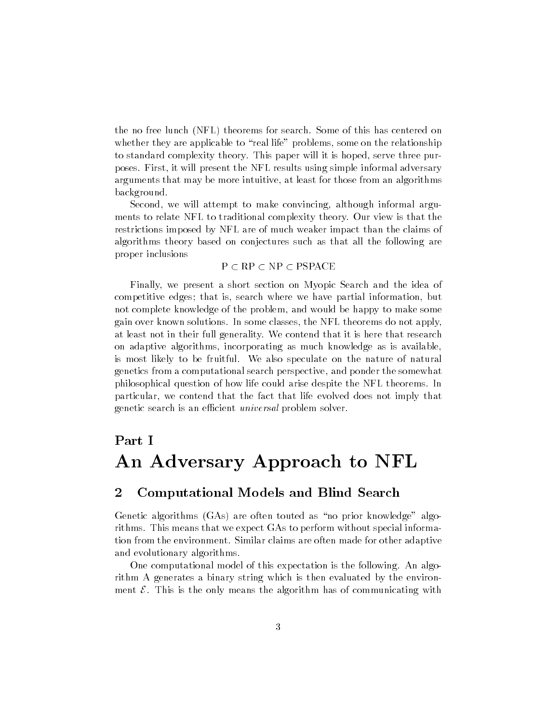the no free lunch (NFL) theorems for search. Some of this has centered on real life to - real life problems some on the relationship problems some on the relationship of the relationsh to standard complexity theory. This paper will it is hoped, serve three purposes First it will present the NFL results using simple informal adversary arguments that may be more intuitive, at least for those from an algorithms background

Second, we will attempt to make convincing, although informal arguments to relate NFL to traditional complexity theory Our view is that the restrictions imposed by NFL are of much weaker impact than the claims of algorithms theory based on conjectures such as that all the following are proper inclusions

#### $P \subset RP \subset NP \subset PSPACE$

Finally, we present a short section on Myopic Search and the idea of competitive edges; that is, search where we have partial information, but not complete knowledge of the problem, and would be happy to make some gain over known solutions In some classes the NFL theorems do not apply at least not in their full generality. We contend that it is here that research on adaptive algorithms, incorporating as much knowledge as is available. is most likely to be fruitful. We also speculate on the nature of natural genetics from a computational search perspective and ponder the somewhat philosophical question of how life could arise despite the NFL theorems In particular, we contend that the fact that life evolved does not imply that genetic search is an efficient *universal* problem solver.

# Part I An Adversary Approach to NFL

### Computational Models and Blind Search

Genetic algorithms 
GAs are often touted as -no prior knowledge algo rithms This means that we expect GAs to perform without special informa tion from the environment. Similar claims are often made for other adaptive and evolutionary algorithms

One computational model of this expectation is the following. An algorithm A generates a binary string which is then evaluated by the environ ment  $\mathcal E$ . This is the only means the algorithm has of communicating with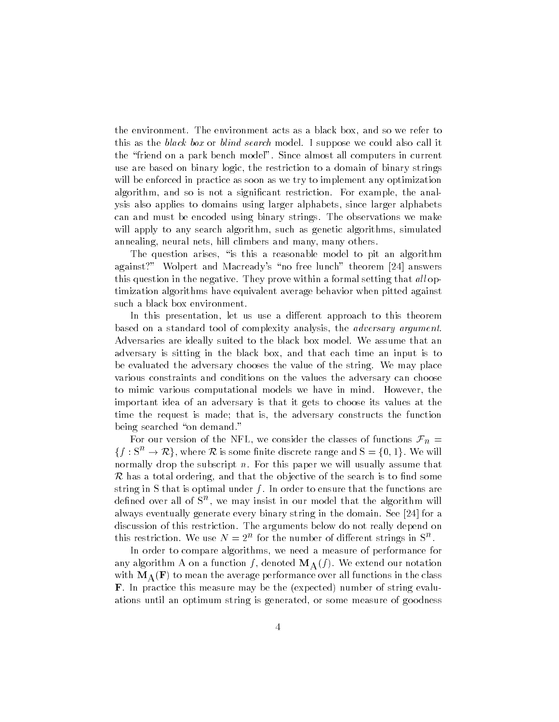the environment. The environment acts as a black box, and so we refer to this as the *black box* or *blind search* model. I suppose we could also call it the -friend on a park bench model Since almost all computers in current use are based on binary logic the restriction to a domain of binary strings will be enforced in practice as soon as we try to implement any optimization algorithm, and so is not a significant restriction. For example, the analysis also applies to domains using larger alphabets since larger alphabets can and must be encoded using binary strings. The observations we make will apply to any search algorithm, such as genetic algorithms, simulated annealing, neural nets, hill climbers and many, many others.

The question arises -is this a reasonable model to pit an algorithm  $\mathcal{A}$  and  $\mathcal{A}$  . The matrix theorem is the matrix of the sections of  $\mathcal{A}$  , which is the section of the section of  $\mathcal{A}$ this question in the negative. They prove within a formal setting that all optimization algorithms have equivalent average behavior when pitted against such a black box environment

In this presentation, let us use a different approach to this theorem based on a standard tool of complexity analysis, the *adversary argument*. Adversaries are ideally suited to the black box model. We assume that an adversary is sitting in the black box and that each time an input is to be evaluated the adversary chooses the value of the string. We may place various constraints and conditions on the values the adversary can choose to mimic various computational models we have in mind. However, the important idea of an adversary is that it gets to choose its values at the time the request is made; that is, the adversary constructs the function being searched -on demand

For our version of the NFL, we consider the classes of functions  $\mathcal{F}_n =$  ${f: S^n \to \mathcal{R}}$ , where  $\mathcal R$  is some finite discrete range and  $S = \{0, 1\}$ . We will normally drop the subscript n. For this paper we will usually assume that  $\mathcal R$  has a total ordering, and that the objective of the search is to find some string in S that is optimal under  $f$ . In order to ensure that the functions are denned over all of St, we may misist in our model that the algorithm will always eventually generate eventually generate eventually string in the domain See  $\mathcal{A}$ discussion of this restriction. The arguments below do not really depend on this restriction. We use  $N = 2^n$  for the number of different strings in  $S^n$ .

In order to compare algorithms, we need a measure of performance for any algorithm A on a function f, denoted  $\mathbf{M}_{\mathrm{A}}(f)$ . We extend our notation with  $\mathbf{M}_\text{A}(\mathbf{F})$  to mean the average performance over all functions in the class **F**. In practice this measure may be the (expected) number of string evaluations until an optimum string is generated, or some measure of goodness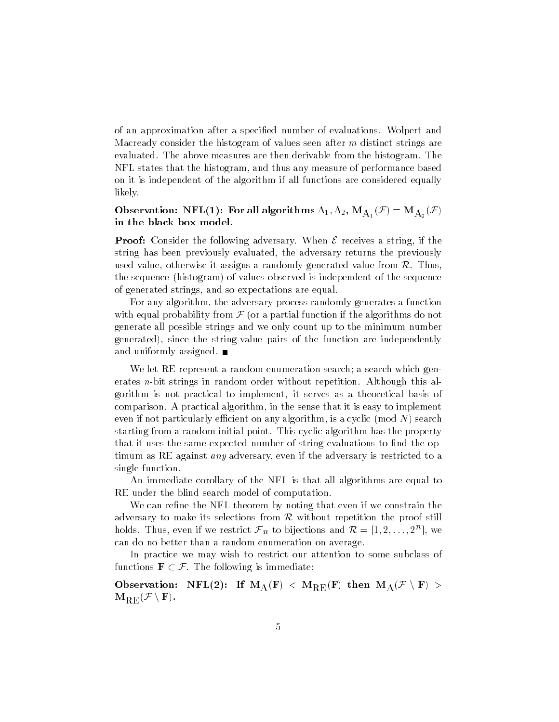of an approximation after a specified number of evaluations. Wolpert and Macready consider the histogram of values seen after <sup>m</sup> distinct strings are evaluated. The above measures are then derivable from the histogram. The NFL states that the histogram, and thus any measure of performance based on it is independent of the algorithm if all functions are considered equally likely

Observation: NFL(1): For all algorithms  $\rm A_1, A_2, M_{A_1}(\mathcal{F})=M_{A_2}(\mathcal{F})$ in the black box model

**Proof:** Consider the following adversary. When  ${\cal E}$  receives a string, if the string has been previously evaluated, the adversary returns the previously used value, otherwise it assigns a randomly generated value from  $\mathcal{R}$ . Thus, the sequence (histogram) of values observed is independent of the sequence of generated strings, and so expectations are equal.

For any algorithm, the adversary process randomly generates a function with equal probability from  $\mathcal F$  (or a partial function if the algorithms do not generate all possible strings and we only count up to the minimum number generated), since the string-value pairs of the function are independently and uniformly assigned

We let RE represent a random enumeration search; a search which generates *n*-bit strings in random order without repetition. Although this algorithm is not practical to implement it serves as a theoretical basis of comparison. A practical algorithm, in the sense that it is easy to implement even if not particularly efficient on any algorithm, is a cyclic (mod  $N$ ) search starting from a random initial point. This cyclic algorithm has the property that it uses the same expected number of string evaluations to find the optimum as RE against *any* adversary, even if the adversary is restricted to a single function

An immediate corollary of the NFL is that all algorithms are equal to RE under the blind search model of computation

We can refine the NFL theorem by noting that even if we constrain the adversary to make its selections from  ${\cal R}$  without repetition the proof still holds. Thus, even if we restrict  $\mathcal{F}_n$  to bijections and  $\mathcal{R} = [1, 2, \ldots, 2^n]$ , we can do no better than a random enumeration on average

In practice we may wish to restrict our attention to some subclass of functions  $\mathbf{F} \subset \mathcal{F}$ . The following is immediate:

Observation: NFL(2): If  $\rm M_A(F) < M_{RE}(F)$  then  $\rm M_A({\cal F}\setminus F)$  >  $\mathbf{M}_{\mathrm{RE}}(\mathcal{F}\setminus\mathbf{F})$  .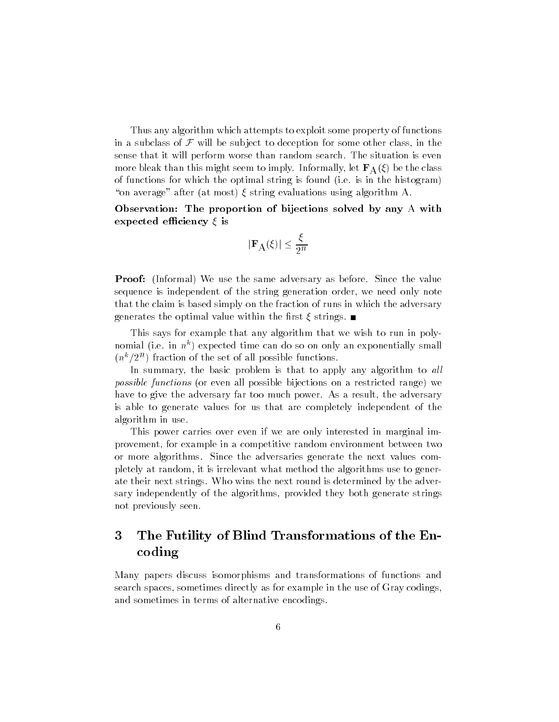Thus any algorithm which attempts to exploit some property of functions in a subclass of  $\mathcal F$  will be subject to deception for some other class, in the sense that it will perform worse than random search The situation is even more bleak than this might seem to imply. Informally, let  $\mathbf{F}_{\mathbf{A}}(\xi)$  be the class of functions for which the optimal string is found (i.e. is in the histogram) -on average after 
at most string evaluations using algorithm A

Observation. The proportion of bijections solved by any  $\Lambda$  with expected eciency is

$$
|\mathbf{F}_\text{A}(\xi)|\leq \frac{\xi}{2^n}
$$

Proof Informal We use the same adversary as before Since the value sequence is independent of the string generation order, we need only note that the claim is based simply on the fraction of runs in which the adversary generates the optimal value within the first  $\xi$  strings.

This says for example that any algorithm that we wish to run in poly nomial (i.e. in  $n^+$ ) expected time can do so on only an exponentially small  $(n^2/2^2)$  fraction of the set of all possible functions.

In summary, the basic problem is that to apply any algorithm to all *possible functions* (or even all possible bijections on a restricted range) we have to give the adversary far too much power. As a result, the adversary is able to generate values for us that are completely independent of the algorithm in use

This power carries over even if we are only interested in marginal im provement for example in a competitive random environment between two or more algorithms. Since the adversaries generate the next values completely at random it is irrelevant what method the algorithms use to gener ate their next strings. Who wins the next round is determined by the adversary independently of the algorithms, provided they both generate strings not previously seen

#### 3 The Futility of Blind Transformations of the En coding

Many papers discuss isomorphisms and transformations of functions and search spaces, sometimes directly as for example in the use of Gray codings, and sometimes in terms of alternative encodings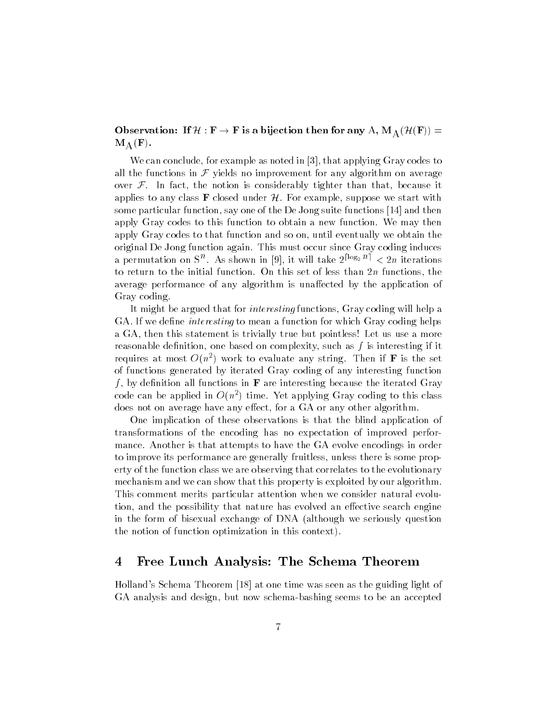Observation: If  $\mathcal{H}:\mathrm{F}\to\mathrm{F}$  is a bijection then for any  $\mathrm{A},\mathrm{M}_\mathrm{A}(\mathcal{H}(\mathrm{F}))=$  $\mathbf{M}_{\,\mathrm{A}}\left(\mathbf{F}\right)$  .

We can conclude, for example as noted in  $[3]$ , that applying Gray codes to all the functions in  $\mathcal F$  yields no improvement for any algorithm on average over  $\mathcal F$ . In fact, the notion is considerably tighter than that, because it applies to any class **F** closed under H. For example, suppose we start with some particular function, say one of the De Jong suite functions [14] and then apply Gray codes to this function to obtain a new function. We may then apply Gray codes to that function and so on, until eventually we obtain the original De Jong function again This must occur since Gray coding induces a permutation on S<sup>ect</sup>. As shown in [9], it will take  $2^{1.882}$   $^{\circ}$   $\leq$   $2n$  iterations to return to the initial function On this set of less than <sup>n</sup> functions the average performance of any algorithm is unaffected by the application of Gray coding

It might be argued that for *interesting* functions, Gray coding will help a GA. If we define *interesting* to mean a function for which Gray coding helps a GA, then this statement is trivially true but pointless! Let us use a more reasonable definition, one based on complexity, such as  $f$  is interesting if it requires at most  $O(n^2)$  work to evaluate any string. Then if  ${\bf r}$  is the set of functions generated by iterated Gray coding of any interesting function f, by definition all functions in  $\bf{F}$  are interesting because the iterated Gray code can be applied in  $O(n^2)$  time. Yet applying Gray coding to this class does not on average have any effect, for a GA or any other algorithm.

One implication of these observations is that the blind application of transformations of the encoding has no expectation of improved perfor mance Another is that attempts to have the GA evolve encodings in order to improve its performance are generally fruitless unless there is some prop erty of the function class we are observing that correlates to the evolutionary mechanism and we can show that this property is exploited by our algorithm This comment merits particular attention when we consider natural evolu tion, and the possibility that nature has evolved an effective search engine in the form of bisexual exchange of DNA 
although we seriously question the notion of function optimization in this context

### 4 Free Lunch Analysis: The Schema Theorem

Holland's Schema Theorem [18] at one time was seen as the guiding light of GA analysis and design, but now schema-bashing seems to be an accepted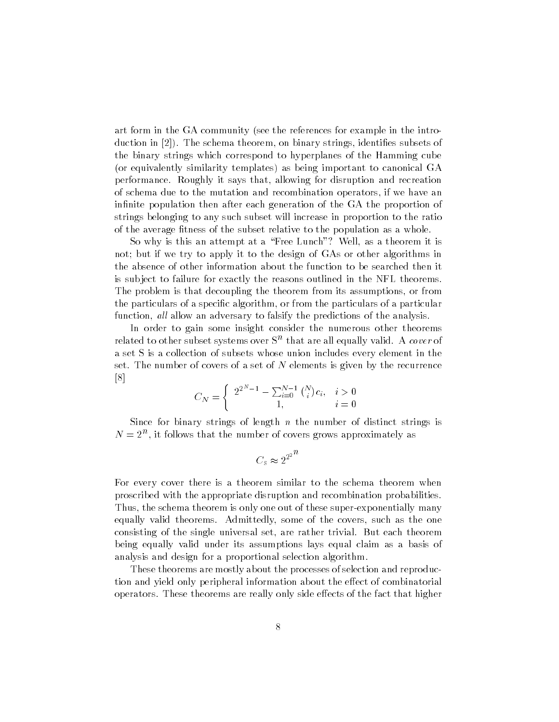art form in the GA community (see the references for example in the introaduction in  $\vert \equiv \vert$  , which is string in the strings in the subsets of the subsets of the subsets of the subsets of the subsets of the subsets of the subsets of the subsets of the subsets of the subsets of the subsets of the binary strings which correspond to hyperplanes of the Hamming cube (or equivalently similarity templates) as being important to canonical GA performance. Roughly it says that, allowing for disruption and recreation of schema due to the mutation and recombination operators if we have an infinite population then after each generation of the GA the proportion of strings belonging to any such subset will increase in proportion to the ratio of the average fitness of the subset relative to the population as a whole.

So why is this an attempt at a -Free Lunch Well as a theorem it is not; but if we try to apply it to the design of GAs or other algorithms in the absence of other information about the function to be searched then it is sub ject to failure for exactly the reasons outlined in the NFL theorems The problem is that decoupling the theorem from its assumptions, or from the particulars of a specific algorithm, or from the particulars of a particular function, all allow an adversary to falsify the predictions of the analysis.

In order to gain some insight consider the numerous other theorems related to other subset systems over Sulthat are all equally valid. A *cover* of a set S is a collection of subsets whose union includes every element in the set. The number of covers of a set of  $N$  elements is given by the recurrence  $[8]$ 

$$
C_N = \begin{cases} 2^{2^N - 1} - \sum_{i=0}^{N-1} {N \choose i} c_i, & i > 0 \\ 1, & i = 0 \end{cases}
$$

Since for binary strings of length  $n$  the number of distinct strings is  $N = 2^\circ$  , it follows that the number of covers grows approximately as

$$
C_{\rm s}\thickapprox 2^{2^{2^{n}}}
$$

For every cover there is a theorem similar to the schema theorem when proscribed with the appropriate disruption and recombination probabilities Thus, the schema theorem is only one out of these super-exponentially many equally valid theorems. Admittedly, some of the covers, such as the one consisting of the single universal set, are rather trivial. But each theorem being equally valid under its assumptions lays equal claim as a basis of analysis and design for a proportional selection algorithm

These theorems are mostly about the processes of selection and reproduc tion and yield only peripheral information about the effect of combinatorial operators. These theorems are really only side effects of the fact that higher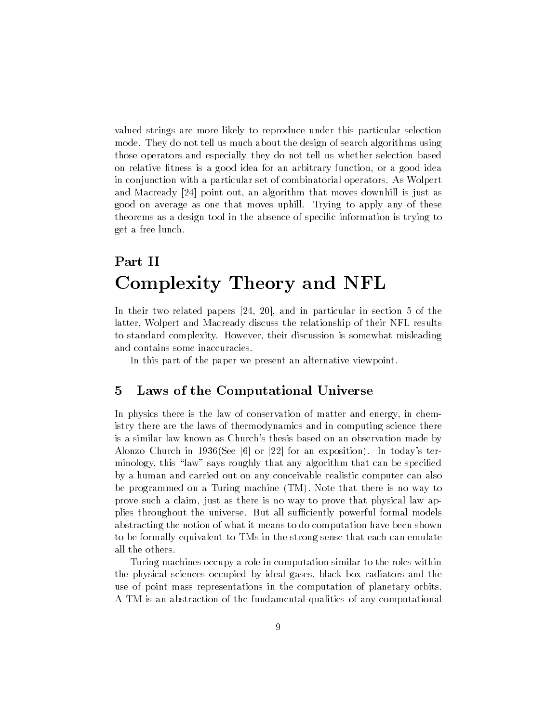valued strings are more likely to reproduce under this particular selection mode. They do not tell us much about the design of search algorithms using those operators and especially they do not tell us whether selection based on relative fitness is a good idea for an arbitrary function, or a good idea in conjunction with a particular set of combinatorial operators As Wolpert and Macready Macready is the moves downtown that moves downtown that moves downtown  $\mathcal{W}$ good on average as one that moves uphill. Trying to apply any of these theorems as a design tool in the absence of specific information is trying to get a free lunch

# Part II Complexity Theory and NFL

and in the contracted papers  $\mathbf{I} = \mathbf{I}$  , which in particular in section . The international latter, Wolpert and Macready discuss the relationship of their NFL results to standard complexity. However, their discussion is somewhat misleading and contains some inaccuracies

In this part of the paper we present an alternative viewpoint

### Laws of the Computational Universe

In physics there is the law of conservation of matter and energy in chem istry there are the laws of thermodynamics and in computing science there is a similar law known as Church's thesis based on an observation made by  $\blacksquare$  . The church in the church in the church in the church in the church in the church in the church in the church in the church in the church in the church in the church in the church in the church in the church in th minology that any algorithm that any algorithm that any algorithm that can be specied by species  $\mathbf{r}$ by a human and carried out on any conceivable realistic computer can also be programmed on a Turing machine (TM). Note that there is no way to prove such a claim, just as there is no way to prove that physical law applies throughout the universe. But all sufficiently powerful formal models abstracting the notion of what it means to do computation have been shown to be formally equivalent to TMs in the strong sense that each can emulate all the others

Turing machines occupy a role in computation similar to the roles within the physical sciences occupied by ideal gases black box radiators and the use of point mass representations in the computation of planetary orbits A TM is an abstraction of the fundamental qualities of any computational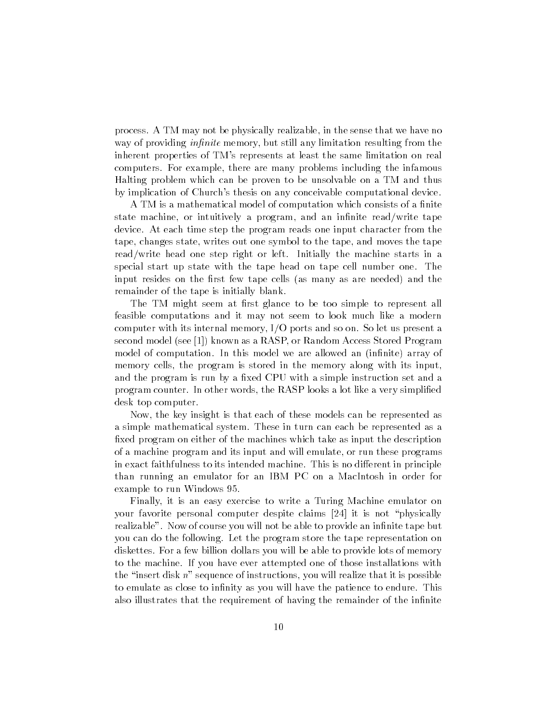process. A TM may not be physically realizable, in the sense that we have no way of providing *infinite* memory, but still any limitation resulting from the inherent properties of TM's represents at least the same limitation on real computers. For example, there are many problems including the infamous Halting problem which can be proven to be unsolvable on a TM and thus by implication of Church's thesis on any conceivable computational device.

A TM is a mathematical model of computation which consists of a finite state machine, or intuitively a program, and an infinite read/write tape device At each time step the program reads one input character from the tape, changes state, writes out one symbol to the tape, and moves the tape read/write head one step right or left. Initially the machine starts in a special start up state with the tape head on tape cell number one The input resides on the first few tape cells (as many as are needed) and the remainder of the tape is initially blank

The TM might seem at first glance to be too simple to represent all feasible computations and it may not seem to look much like a modern computer with its internal memory,  $I/O$  ports and so on. So let us present a second model (see [1]) known as a RASP, or Random Access Stored Program model of computation. In this model we are allowed an (infinite) array of memory cells, the program is stored in the memory along with its input, and the program is run by a fixed CPU with a simple instruction set and a program counter. In other words, the RASP looks a lot like a very simplified desk top computer

Now, the key insight is that each of these models can be represented as a simple mathematical system. These in turn can each be represented as a fixed program on either of the machines which take as input the description of a machine program and its input and will emulate or run these programs in exact faithfulness to its intended machine. This is no different in principle than running an emulator for an IBM PC on a MacIntosh in order for example to run Windows 95.

Finally, it is an easy exercise to write a Turing Machine emulator on  $\mathbf r$  for a state personal computer despite computer despite computer despite computer despite computer despite  $\mathbf r$ realizable". Now of course you will not be able to provide an infinite tape but you can do the following Let the program store the tape representation on diskettes. For a few billion dollars you will be able to provide lots of memory to the machine If you have ever attempted one of those installations with the -insert disk n sequence of instructions you will realize that it is possible to emulate as close to infinity as you will have the patience to endure. This also illustrates that the requirement of having the remainder of the infinite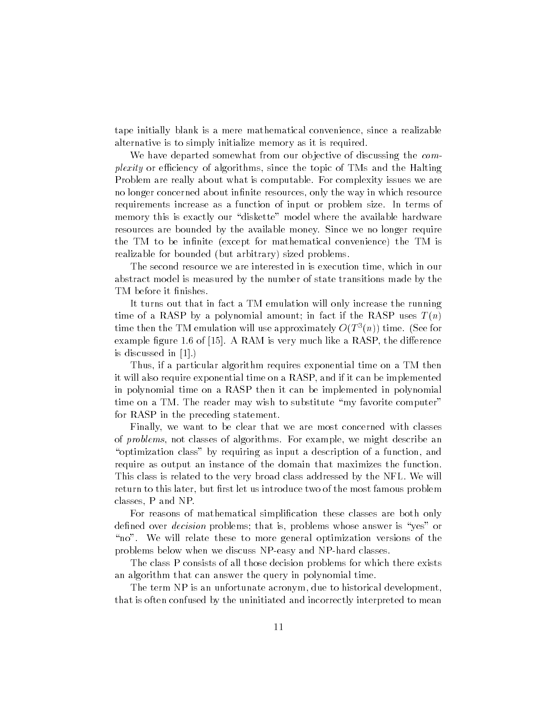tape initially blank is a mere mathematical convenience, since a realizable alternative is to simply initialize memory as it is required

We have departed somewhat from our objective of discussing the *complexity* or efficiency of algorithms, since the topic of TMs and the Halting Problem are really about what is computable For complexity issues we are no longer concerned about infinite resources, only the way in which resource requirements increase as a function of input or problem size In terms of memory this is exactly our - diskette model where the available model where  $\cdots$ resources are bounded by the available money Since we no longer require the TM to be infinite (except for mathematical convenience) the TM is realizable for bounded (but arbitrary) sized problems.

The second resource we are interested in is execution time, which in our abstract model is measured by the number of state transitions made by the TM before it finishes.

It turns out that in fact a TM emulation will only increase the running time of a RASP by a polynomial amount; in fact if the RASP uses  $T(n)$ time then the TM emulation will use approximately  $O(T^2(n))$  time. (See for example figure 1.6 of  $[15]$ . A RAM is very much like a RASP, the difference is discussed in  $[1]$ .)

Thus, if a particular algorithm requires exponential time on a TM then it will also require exponential time on a RASP, and if it can be implemented in polynomial time on a RASP then it can be implemented in polynomial time on a TM The reader may wish to substitute  $\mathbf{r}$ for RASP in the preceding statement

Finally, we want to be clear that we are most concerned with classes of *problems*, not classes of algorithms. For example, we might describe an -optimization class by requiring as input a description of a function and require as output an instance of the domain that maximizes the function This class is related to the very broad class addressed by the NFL We will return to this later, but first let us introduce two of the most famous problem classes, P and NP.

For reasons of mathematical simplication these classes are both only dened over decision problems that is problems whose answer is -yes or -no We will relate these to more general optimization versions of the problems below when we discuss NP-easy and NP-hard classes.

The class P consists of all those decision problems for which there exists an algorithm that can answer the query in polynomial time

The term NP is an unfortunate acronym, due to historical development, that is often confused by the uninitiated and incorrectly interpreted to mean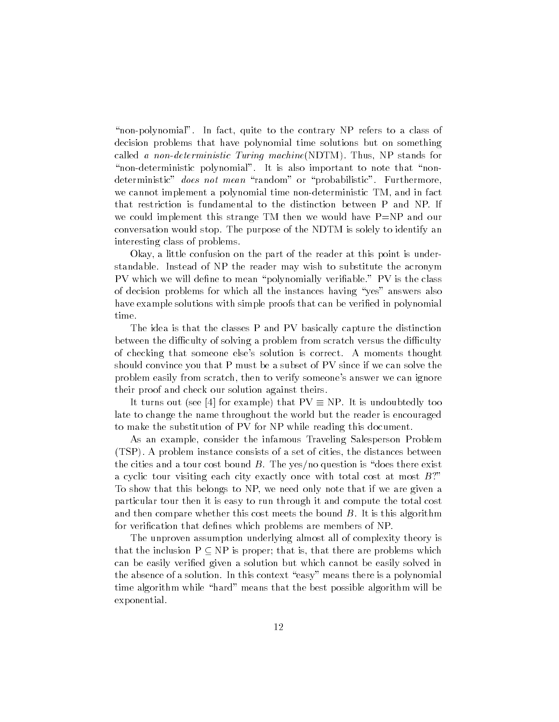-nonpolynomial In fact quite to the contrary NP refers to a class of decision problems that have polynomial time solutions but on something called a non-deterministic Turing machine  $(NDTM)$ . Thus, NP stands for nondeterministic polynomial It is also important to non-terministic polynomial It is also important to non-terministic polynomial in the second to note that  $\mathbf{r}_i$ deterministic does not mean -random or -probabilistic Furthermore we cannot implement a polynomial time non-deterministic TM, and in fact that restriction is fundamental to the distinction between P and NP If we could implement this strange TM then we would have  $P=NP$  and our conversation would stop. The purpose of the NDTM is solely to identify an interesting class of problems

Okay, a little confusion on the part of the reader at this point is understandable Instead of NP the reader may wish to substitute the acronym PV which we will dene to mean -polynomially veriable PV is the class of decision problems for which all the instances having -yes answers also have example solutions with simple proofs that can be verified in polynomial time

The idea is that the classes P and PV basically capture the distinction between the difficulty of solving a problem from scratch versus the difficulty of checking that someone else's solution is correct. A moments thought should convince you that P must be a subset of PV since if we can solve the problem easily from scratch, then to verify someone's answer we can ignore their proof and check our solution against theirs

It turns out (see [4] for example) that  $PV \equiv NP$ . It is undoubtedly too late to change the name throughout the world but the reader is encouraged to make the substitution of PV for NP while reading this document

As an example, consider the infamous Traveling Salesperson Problem (TSP). A problem instance consists of a set of cities, the distances between the cities and a tour cost bound B The yesno question is -does there exist a cyclic tour visiting each city exactly once with total cost at most  $B$ ? To show that this belongs to NP, we need only note that if we are given a particular tour then it is easy to run through it and compute the total cost and then compare whether this cost meets the bound  $B$ . It is this algorithm for verification that defines which problems are members of NP.

The unproven assumption underlying almost all of complexity theory is that the inclusion  $P \subseteq NP$  is proper; that is, that there are problems which can be easily verified given a solution but which cannot be easily solved in the absence of a solution In this context -  $\mathbb{R}$  -  $\mathbb{R}$  -  $\mathbb{R}$  -  $\mathbb{R}$  -  $\mathbb{R}$ time algorithm while -hard means that the best possible algorithm will be exponential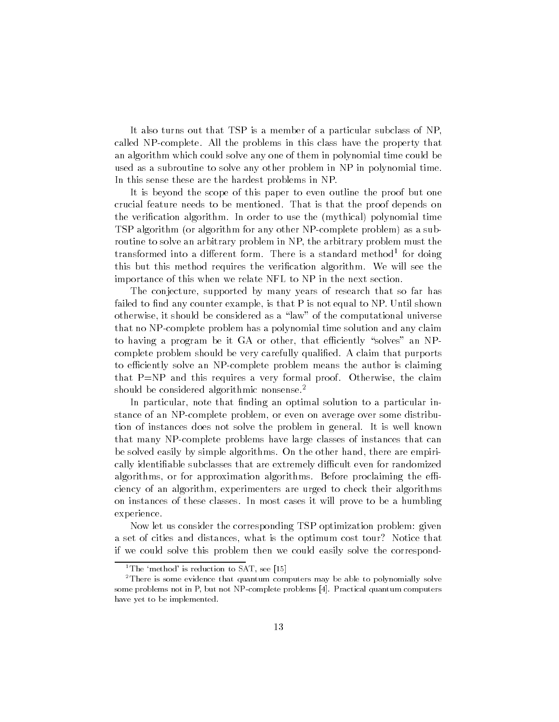It also turns out that TSP is a member of a particular subclass of NP called NP-complete. All the problems in this class have the property that an algorithm which could solve any one of them in polynomial time could be used as a subroutine to solve any other problem in NP in polynomial time In this sense these are the hardest problems in NP

It is beyond the scope of this paper to even outline the proof but one crucial feature needs to be mentioned. That is that the proof depends on the verification algorithm. In order to use the (mythical) polynomial time TSP algorithm (or algorithm for any other NP-complete problem) as a subroutine to solve an arbitrary problem in NP, the arbitrary problem must the transformed into a different form. There is a standard method<sup>-</sup> for doing this but this method requires the verification algorithm. We will see the importance of this when we relate NFL to NP in the next section

The conjecture, supported by many years of research that so far has failed to find any counter example, is that  $P$  is not equal to NP. Until shown otherwise it should be considered as a -law of the computational universe that no NP-complete problem has a polynomial time solution and any claim to having a program be it GA or other that eciently -solves an NP complete problem should be very carefully qualified. A claim that purports to efficiently solve an NP-complete problem means the author is claiming that  $P=NP$  and this requires a very formal proof. Otherwise, the claim should be considered algorithmic nonsense.<sup>2</sup>

In particular, note that finding an optimal solution to a particular instance of an NP-complete problem, or even on average over some distribution of instances does not solve the problem in general It is well known that many NPcomplete problems have large classes of instances that can be solved easily by simple algorithms. On the other hand, there are empirically identifiable subclasses that are extremely difficult even for randomized algorithms, or for approximation algorithms. Before proclaiming the efficiency of an algorithm, experimenters are urged to check their algorithms on instances of these classes In most cases it will prove to be a humbling experience

Now let us consider the corresponding TSP optimization problem: given a set of cities and distances, what is the optimum cost tour? Notice that if we could solve this problem then we could easily solve the correspond

<sup>&</sup>lt;sup>1</sup>The 'method' is reduction to SAT, see [15]

<sup>&</sup>lt;sup>2</sup>There is some evidence that quantum computers may be able to polynomially solve some problems not in P, but not NP-complete problems [4]. Practical quantum computers have yet to be implemented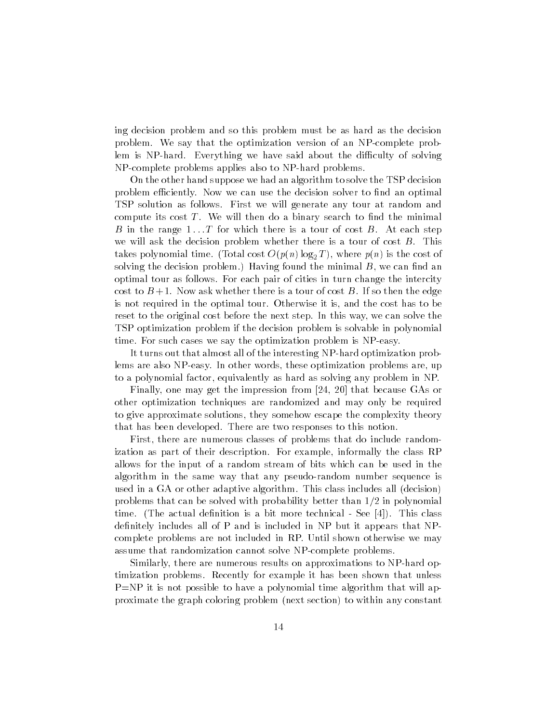ing decision problem and so this problem must be as hard as the decision problem We say that the optimization version of an NPcomplete prob lem is NP-hard. Everything we have said about the difficulty of solving NP-complete problems applies also to NP-hard problems.

On the other hand suppose we had an algorithm to solve the TSP decision problem efficiently. Now we can use the decision solver to find an optimal TSP solution as follows First we will generate any tour at random and compute its cost  $T$ . We will then do a binary search to find the minimal B in the range  $1 \ldots T$  for which there is a tour of cost B. At each step we will ask the decision problem whether there is a tour of cost  $B$ . This takes proportion time  $\mathcal{N} = 0$  is the cost  $\mathcal{N} = \{T, \mathcal{N}\}$  of  $T$  ,  $T$  is the cost of  $T$ solving the decision problem.) Having found the minimal  $B$ , we can find an optimal tour as follows For each pair of cities in turn change the intercity cost to  $B+1$ . Now ask whether there is a tour of cost B. If so then the edge is not required in the optimal tour. Otherwise it is, and the cost has to be reset to the original cost before the next step. In this way, we can solve the TSP optimization problem if the decision problem is solvable in polynomial time. For such cases we say the optimization problem is NP-easy.

It turns out that almost all of the interesting NP-hard optimization problems are also NP-easy. In other words, these optimization problems are, up to a polynomial factor, equivalently as hard as solving any problem in NP.

 $\mathbf{f}$  is that because  $\mathbf{f}$  is the impression from  $\mathbf{f}$  in the impression from  $\mathbf{f}$ other optimization techniques are randomized and may only be required to give approximate solutions, they somehow escape the complexity theory that has been developed. There are two responses to this notion.

First, there are numerous classes of problems that do include randomization as part of their description. For example, informally the class RP allows for the input of a random stream of bits which can be used in the algorithm in the same way that any pseudo-random number sequence is used in a GA or other adaptive algorithm. This class includes all (decision) problems that can be solved with problems  $\mu$  in the solved with  $\mu$  = the polynomial time. (The actual definition is a bit more technical - See [4]). This class definitely includes all of  $P$  and is included in  $NP$  but it appears that  $NP$ complete problems are not included in RP Until shown otherwise we may assume that randomization cannot solve NP-complete problems.

Similarly, there are numerous results on approximations to NP-hard optimization problems. Recently for example it has been shown that unless  $P=NP$  it is not possible to have a polynomial time algorithm that will approximate the graph coloring problem (next section) to within any constant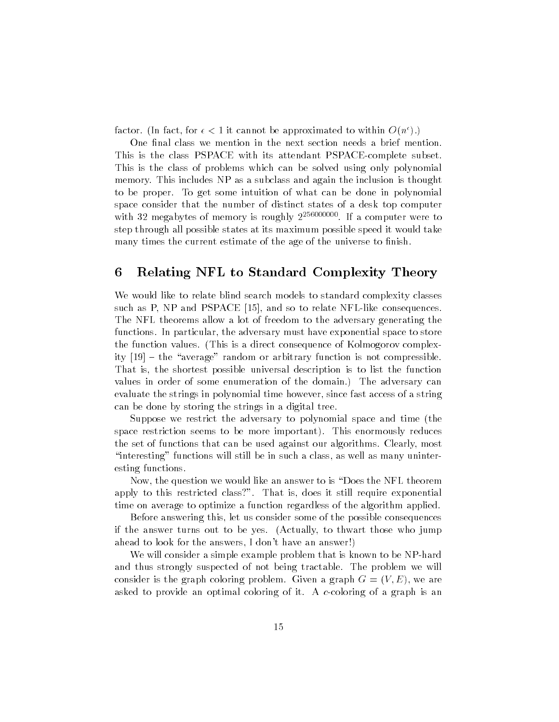ractor. The fact, for  $\epsilon < 1$  it cannot be approximated to within  $O(n^*)$ .)

One final class we mention in the next section needs a brief mention. This is the class PSPACE with its attendant PSPACE-complete subset. This is the class of problems which can be solved using only polynomial memory. This includes NP as a subclass and again the inclusion is thought to be proper. To get some intuition of what can be done in polynomial space consider that the number of distinct states of a desk top computer with megabytes of memory is roughly If a computer were to step through all possible states at its maximum possible speed it would take many times the current estimate of the age of the universe to finish.

### Relating NFL to Standard Complexity Theory

We would like to relate blind search models to standard complexity classes such as P, NP and PSPACE  $[15]$ , and so to relate NFL-like consequences. The NFL theorems allow a lot of freedom to the adversary generating the functions. In particular, the adversary must have exponential space to store the function values. (This is a direct consequence of Kolmogorov complexity proposition in the average random or arbitrary function in the compression is a That is, the shortest possible universal description is to list the function values in order of some enumeration of the domain.) The adversary can evaluate the strings in polynomial time however, since fast access of a string can be done by storing the strings in a digital tree

Suppose we restrict the adversary to polynomial space and time (the space restriction seems to be more important). This enormously reduces the set of functions that can be used against our algorithms. Clearly, most -interesting functions will still be in such a class as well as many uninter esting functions

Now the question we would like an answer to is -Does the NFL theorem apply to this restricted class?". That is, does it still require exponential time on average to optimize a function regardless of the algorithm applied

Before answering this, let us consider some of the possible consequences if the answer turns out to be yes Actually to thwart those who jump ahead to look for the answers, I don't have an answer!)

We will consider a simple example problem that is known to be NP-hard and thus strongly suspected of not being tractable. The problem we will consider is the graph coloring problem. Given a graph  $G = (V, E)$ , we are asked to provide an optimal coloring of it. A c-coloring of a graph is an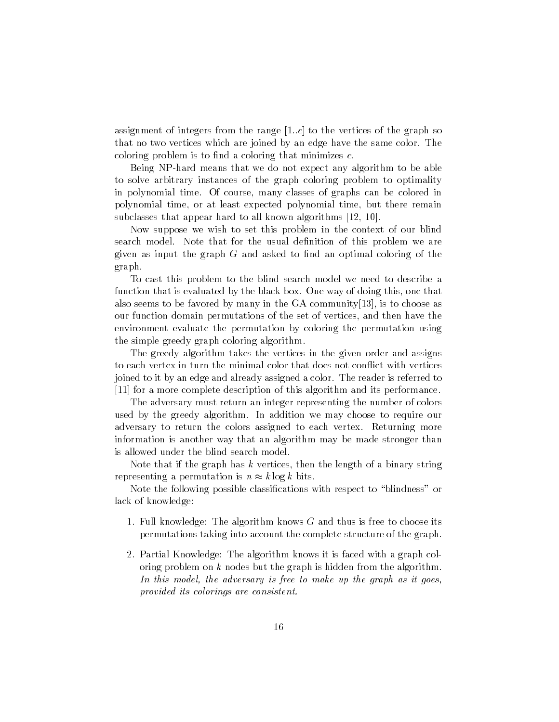assignment of integers from the range  $[1..c]$  to the vertices of the graph so that no two vertices which are joined by an edge have the same color The coloring problem is to find a coloring that minimizes  $c$ .

Being NP-hard means that we do not expect any algorithm to be able to solve arbitrary instances of the graph coloring problem to optimality in polynomial time. Of course, many classes of graphs can be colored in polynomial time, or at least expected polynomial time, but there remain subclasses that appear has a life minimum algorithms post of the

Now suppose we wish to set this problem in the context of our blind search model. Note that for the usual definition of this problem we are given as input the graph  $G$  and asked to find an optimal coloring of the graph

To cast this problem to the blind search model we need to describe a function that is evaluated by the black box. One way of doing this, one that also seems to be favored by many in the  $GA$  community $[13]$ , is to choose as our function domain permutations of the set of vertices, and then have the environment evaluate the permutation by coloring the permutation using the simple greedy graph coloring algorithm

The greedy algorithm takes the vertices in the given order and assigns to each vertex in turn the minimal color that does not conflict with vertices joined to it by an edge and already assigned a color The reader is referred to  $[11]$  for a more complete description of this algorithm and its performance.

The adversary must return an integer representing the number of colors used by the greedy algorithm In addition we may choose to require our adversary to return the colors assigned to each vertex. Returning more information is another way that an algorithm may be made stronger than is allowed under the blind search model

Note that if the graph has  $k$  vertices, then the length of a binary string representing a permutation is  $n \approx k \log k$  bits.

Note the following possible classications with respect to -blindness or lack of knowledge

- 1. Full knowledge: The algorithm knows  $G$  and thus is free to choose its permutations taking into account the complete structure of the graph
- Partial Knowledge The algorithm knows it is faced with a graph col oring problem on  $k$  nodes but the graph is hidden from the algorithm. en anno inconsit model-make up the graph as incomed up the graph as it gasst provided its colorings are consistent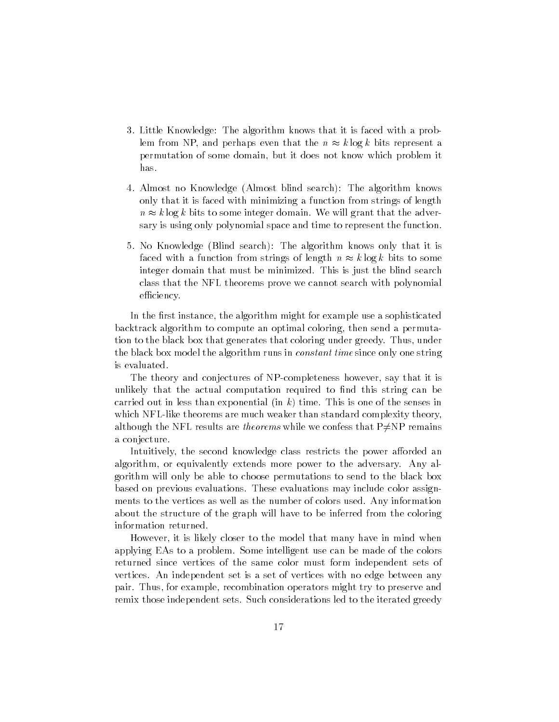- 3. Little Knowledge: The algorithm knows that it is faced with a problem from NP, and perhaps even that the  $n \approx k \log k$  bits represent a permutation of some domain, but it does not know which problem it has
- 4. Almost no Knowledge (Almost blind search): The algorithm knows only that it is faced with minimizing a function from strings of length  $n \approx k \log k$  bits to some integer domain. We will grant that the adversary is using only polynomial space and time to represent the function
- 5. No Knowledge (Blind search): The algorithm knows only that it is faced with a function from strings of length  $n \approx k \log k$  bits to some integer domain that must be minimized. This is just the blind search class that the NFL theorems prove we cannot search with polynomial efficiency.

In the first instance, the algorithm might for example use a sophisticated backtrack algorithm to compute an optimal coloring, then send a permutation to the black box that generates that coloring under greedy. Thus, under the black box model the algorithm runs in *constant time* since only one string is evaluated

The theory and conjectures of NP-completeness however, say that it is unlikely that the actual computation required to find this string can be carried out in less than exponential (in  $k$ ) time. This is one of the senses in which NFL-like theorems are much weaker than standard complexity theory, although the NFL results are theorems while we confess that  $P\neq NP$  remains a conjecture

Intuitively, the second knowledge class restricts the power afforded an algorithm, or equivalently extends more power to the adversary. Any algorithm will only be able to choose permutations to send to the black box based on previous evaluations These evaluations may include color assign ments to the vertices as well as the number of colors used. Any information about the structure of the graph will have to be inferred from the coloring information returned

However it is likely closer to the model that many have in mind when applying EAs to a problem Some intelligent use can be made of the colors returned since vertices of the same color must form independent sets of vertices An independent set is a set of vertices with no edge between any pair. Thus, for example, recombination operators might try to preserve and remix those independent sets Such considerations led to the iterated greedy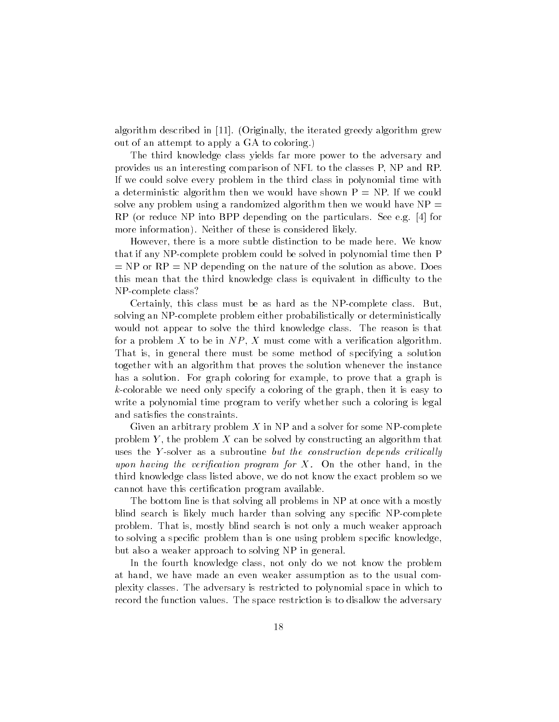algorithm described in [11]. (Originally, the iterated greedy algorithm grew out of an attempt to apply a GA to coloring

The third knowledge class yields far more power to the adversary and provides us an interesting comparison of NFL to the classes P, NP and RP. If we could solve every problem in the third class in polynomial time with a deterministic algorithm then we would have shown  $P = NP$ . If we could solve any problem using a randomized algorithm then we would have  $NP =$ RP (or reduce NP into BPP depending on the particulars. See e.g. [4] for more information). Neither of these is considered likely.

However, there is a more subtle distinction to be made here. We know that if any NPcomplete problem could be solved in polynomial time then P  $N = NP$  or  $RP = NP$  depending on the nature of the solution as above. Does this mean that the third knowledge class is equivalent in difficulty to the NP-complete class?

Certainly, this class must be as hard as the NP-complete class. But. solving an NP-complete problem either probabilistically or deterministically would not appear to solve the third knowledge class. The reason is that for a problem X to be in  $NP, X$  must come with a verification algorithm. That is in general there must be some method of specifying a solution together with an algorithm that proves the solution whenever the instance has a solution. For graph coloring for example, to prove that a graph is  $k$ -colorable we need only specify a coloring of the graph, then it is easy to write a polynomial time program to verify whether such a coloring is legal and satisfies the constraints.

Given an arbitrary problem  $X$  in NP and a solver for some NP-complete problem Y, the problem X can be solved by constructing an algorithm that uses the Y-solver as a subroutine but the construction depends critically upon having the verification program for X. On the other hand, in the third knowledge class listed above, we do not know the exact problem so we cannot have this certification program available.

The bottom line is that solving all problems in NP at once with a mostly blind search is likely much harder than solving any specific NP-complete problem. That is, mostly blind search is not only a much weaker approach to solving a specific problem than is one using problem specific knowledge. but also a weaker approach to solving NP in general

In the fourth knowledge class, not only do we not know the problem at hand, we have made an even weaker assumption as to the usual complexity classes The adversary is restricted to polynomial space in which to record the function values. The space restriction is to disallow the adversary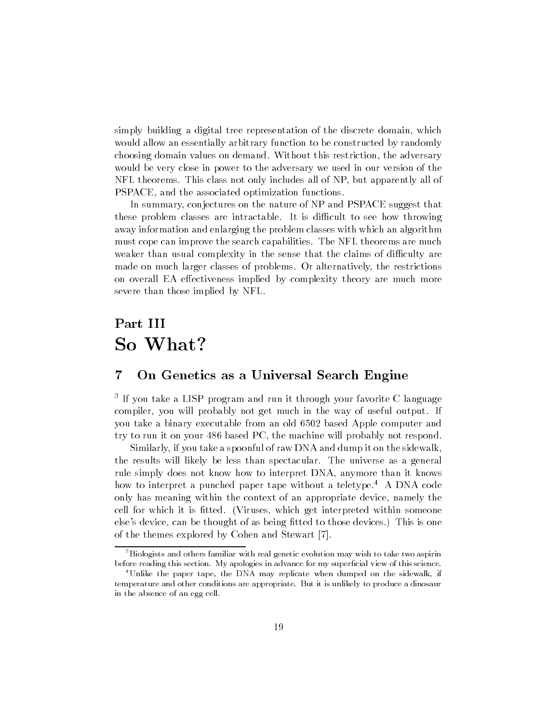simply building a digital tree representation of the discrete domain, which would allow an essentially arbitrary function to be constructed by randomly choosing domain values on demand. Without this restriction, the adversary would be very close in power to the adversary we used in our version of the NFL theorems. This class not only includes all of NP, but apparently all of PSPACE, and the associated optimization functions.

In summary, conjectures on the nature of NP and PSPACE suggest that these problem classes are intractable. It is difficult to see how throwing away information and enlarging the problem classes with which an algorithm must cope can improve the search capabilities The NFL theorems are much weaker than usual complexity in the sense that the claims of difficulty are made on much larger classes of problems. Or alternatively, the restrictions on overall EA effectiveness implied by complexity theory are much more severe than those implied by NFL

## Part III So What

#### On Genetics as a Universal Search Engine

 $^\circ$  If you take a LISP program and run it through your favorite C language  $^\circ$ compiler, you will probably not get much in the way of useful output. If you take a binary executable from an old based Apple computer and try to run it on your  $486$  based PC, the machine will probably not respond.

Similarly, if you take a spoonful of raw DNA and dump it on the sidewalk, the results will likely be less than spectacular. The universe as a general rule simply does not know how to interpret DNA anymore than it knows how to interpret a punched paper tape without a teletype.<sup>4</sup> A DNA code only has meaning within the context of an appropriate device namely the cell for which it is fitted. (Viruses, which get interpreted within someone else's device, can be thought of as being fitted to those devices.) This is one of the themes explored by Cohen and Stewart [7].

<sup>-</sup>Biologists and others familiar with real genetic evolution may wish to take two aspirin before reading this section. My apologies in advance for my superficial view of this science.

<sup>&</sup>lt;sup>4</sup>Unlike the paper tape, the DNA may replicate when dumped on the sidewalk, if temperature and other conditions are appropriate But it is unlikely to produce a dinosaur in the absence of an egg cell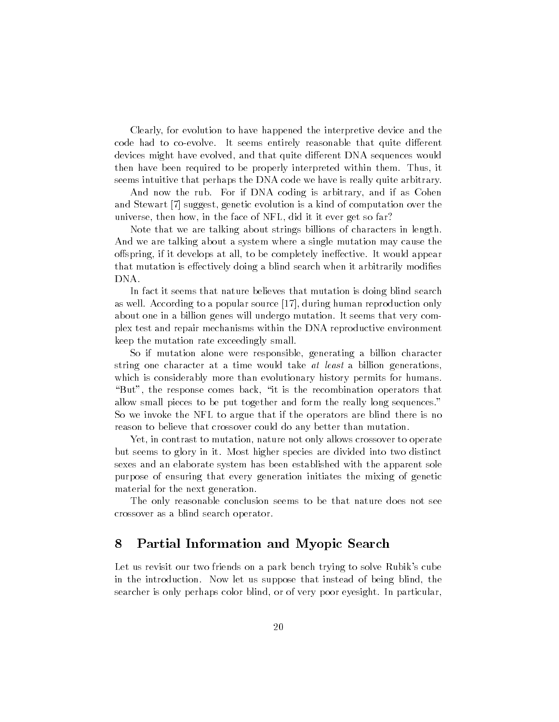Clearly, for evolution to have happened the interpretive device and the code had to co-evolve. It seems entirely reasonable that quite different devices might have evolved, and that quite different DNA sequences would then have been required to be properly interpreted within them. Thus, it seems intuitive that perhaps the DNA code we have is really quite arbitrary

And now the rub. For if DNA coding is arbitrary, and if as Cohen and Stewart [7] suggest, genetic evolution is a kind of computation over the universe, then how, in the face of NFL, did it it ever get so far?

Note that we are talking about strings billions of characters in length And we are talking about a system where a single mutation may cause the offspring, if it develops at all, to be completely ineffective. It would appear that mutation is effectively doing a blind search when it arbitrarily modifies DNA

In fact it seems that nature believes that mutation is doing blind search as well. According to a popular source [17], during human reproduction only about one in a billion genes will undergo mutation. It seems that very complex test and repair mechanisms within the DNA reproductive environment keep the mutation rate exceedingly small

So if mutation alone were responsible, generating a billion character string one character at a time would take at least a billion generations. which is considerably more than evolutionary history permits for humans -But the response comes back -it is the recombination operators that allow small pieces to be put together and form the really long sequences So we invoke the NFL to argue that if the operators are blind there is no reason to believe that crossover could do any better than mutation

Yet, in contrast to mutation, nature not only allows crossover to operate but seems to glory in it Most higher species are divided into two distinct sexes and an elaborate system has been established with the apparent sole purpose of ensuring that every generation initiates the mixing of genetic material for the next generation

The only reasonable conclusion seems to be that nature does not see crossover as a blind search operator

### Partial Information and Myopic Search

Let us revisit our two friends on a park bench trying to solve Rubik's cube in the introduction. Now let us suppose that instead of being blind, the searcher is only perhaps color blind, or of very poor eyesight. In particular,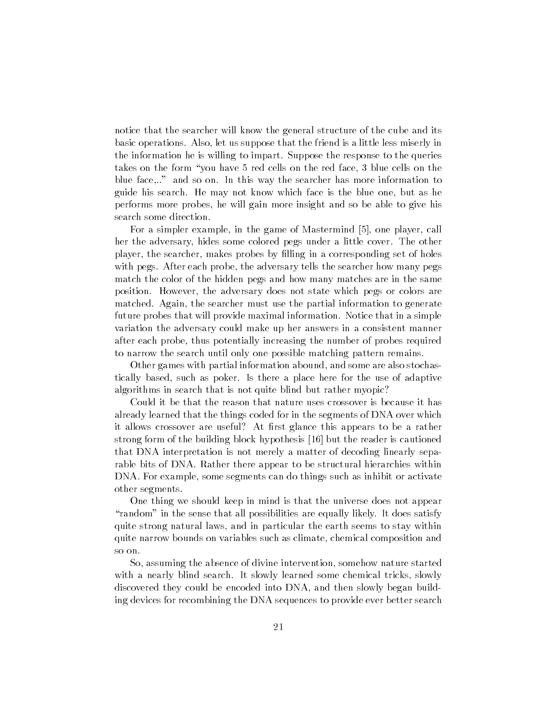notice that the searcher will know the general structure of the cube and its basic operations. Also, let us suppose that the friend is a little less miserly in the information he is willing to impart Suppose the response to the queries takes on the form -you have red cells on the red face blue cells on the blue face..." and so on. In this way the searcher has more information to guide his search. He may not know which face is the blue one, but as he performs more probes he will gain more insight and so be able to give his search some direction

For a simpler example, in the game of Mastermind [5], one player, call her the adversary, hides some colored pegs under a little cover. The other player, the searcher, makes probes by filling in a corresponding set of holes with pegs. After each probe, the adversary tells the searcher how many pegs match the color of the hidden pegs and how many matches are in the same position. However, the adversary does not state which pegs or colors are matched. Again, the searcher must use the partial information to generate future probes that will provide maximal information. Notice that in a simple variation the adversary could make up her answers in a consistent manner after each probe, thus potentially increasing the number of probes required to narrow the search until only one possible matching pattern remains

Other games with partial information abound, and some are also stochastically based, such as poker. Is there a place here for the use of adaptive algorithms in search that is not quite blind but rather myopic

Could it be that the reason that nature uses crossover is because it has already learned that the things coded for in the segments of DNA over which it allows crossover are useful? At first glance this appears to be a rather strong form of the building block hypothesis  $[16]$  but the reader is cautioned that DNA interpretation is not merely a matter of decoding linearly sepa rable bits of DNA Rather there appear to be structural hierarchies within DNA. For example, some segments can do things such as inhibit or activate other segments

One thing we should keep in mind is that the universe does not appear -random in the sense that all possibilities are equally likely It does satisfy quite strong natural laws, and in particular the earth seems to stay within quite narrow bounds on variables such as climate chemical composition and so on

So, assuming the absence of divine intervention, somehow nature started with a nearly blind search. It slowly learned some chemical tricks, slowly discovered they could be encoded into DNA, and then slowly began building devices for recombining the DNA sequences to provide ever better search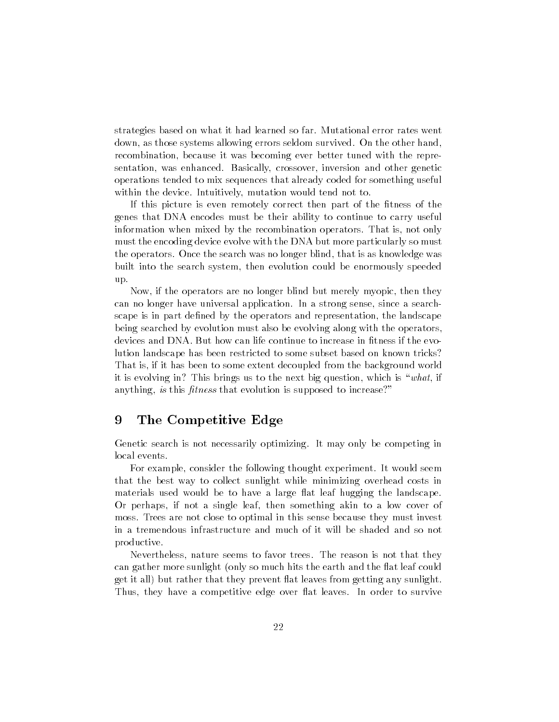strategies based on what it had learned so far Mutational error rates went down, as those systems allowing errors seldom survived. On the other hand, recombination, because it was becoming ever better tuned with the representation, was enhanced. Basically, crossover, inversion and other genetic operations tended to mix sequences that already coded for something useful within the device. Intuitively, mutation would tend not to.

If this picture is even remotely correct then part of the fitness of the genes that DNA encodes must be their ability to continue to carry useful information when mixed by the recombination operators. That is, not only must the encoding device evolve with the DNA but more particularly so must the operators. Once the search was no longer blind, that is as knowledge was built into the search system then evolution could be enormously speeded up

Now, if the operators are no longer blind but merely myopic, then they can no longer have universal application. In a strong sense, since a searchscape is in part defined by the operators and representation, the landscape being searched by evolution must also be evolving along with the operators devices and DNA. But how can life continue to increase in fitness if the evolution landscape has been restricted to some subset based on known tricks That is, if it has been to some extent decoupled from the background world it is the strong in This brings in the next bing question which is - which it anything, is this fitness that evolution is supposed to increase?"

#### 9 The Competitive Edge

Genetic search is not necessarily optimizing. It may only be competing in local events

For example, consider the following thought experiment. It would seem that the best way to collect sunlight while minimizing overhead costs in materials used would be to have a large flat leaf hugging the landscape. Or perhaps, if not a single leaf, then something akin to a low cover of moss. Trees are not close to optimal in this sense because they must invest in a tremendous infrastructure and much of it will be shaded and so not productive

Nevertheless, nature seems to favor trees. The reason is not that they can gather more sunlight (only so much hits the earth and the flat leaf could get it all) but rather that they prevent flat leaves from getting any sunlight. Thus, they have a competitive edge over flat leaves. In order to survive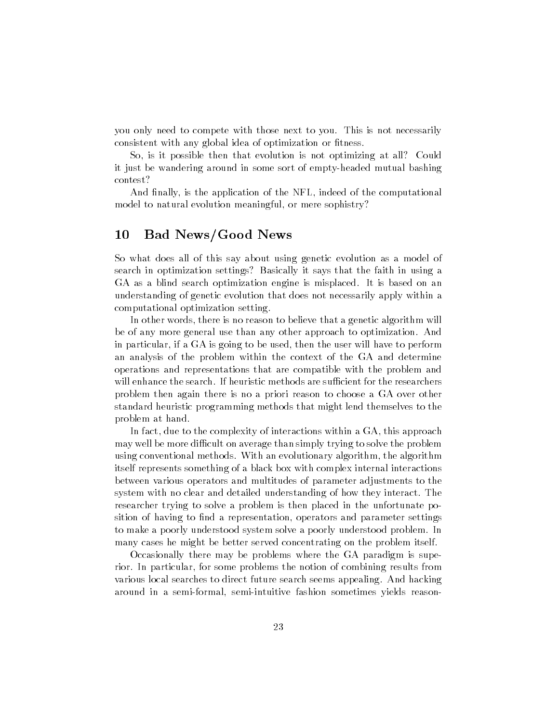you only need to compete with those next to you This is not necessarily consistent with any global idea of optimization or fitness.

So, is it possible then that evolution is not optimizing at all? Could it just be wandering around in some sort of emptyheaded mutual bashing contest

And finally, is the application of the NFL, indeed of the computational model to natural evolution meaningful, or mere sophistry?

### 10 Bad News/Good News

So what does all of this say about using genetic evolution as a model of search in optimization settings? Basically it says that the faith in using a GA as a blind search optimization engine is misplaced. It is based on an understanding of genetic evolution that does not necessarily apply within a computational optimization setting

In other words, there is no reason to believe that a genetic algorithm will be of any more general use than any other approach to optimization. And in particular, if a GA is going to be used, then the user will have to perform an analysis of the problem within the context of the GA and determine operations and representations that are compatible with the problem and will enhance the search. If heuristic methods are sufficient for the researchers problem then again there is no a priori reason to choose a GA over other standard heuristic programming methods that might lend themselves to the problem at hand

In fact, due to the complexity of interactions within a  $GA$ , this approach may well be more difficult on average than simply trying to solve the problem using conventional methods. With an evolutionary algorithm, the algorithm itself represents something of a black box with complex internal interactions between various operators and multitudes of parameter adjustments to the system with no clear and detailed understanding of how they interact. The researcher trying to solve a problem is then placed in the unfortunate po sition of having to find a representation, operators and parameter settings to make a poorly understood system solve a poorly understood problem In many cases he might be better served concentrating on the problem itself

Occasionally there may be problems where the GA paradigm is supe rior. In particular, for some problems the notion of combining results from various local searches to direct future search seems appealing. And hacking around in a semi-formal, semi-intuitive fashion sometimes yields reason-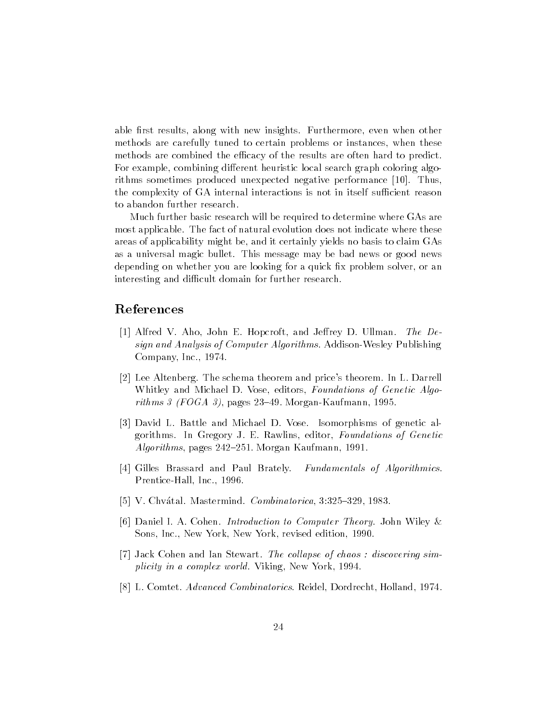able first results, along with new insights. Furthermore, even when other methods are carefully tuned to certain problems or instances, when these methods are combined the efficacy of the results are often hard to predict. For example, combining different heuristic local search graph coloring algorithms sometimes produced unexpected negative performance  $[10]$ . Thus, the complexity of GA internal interactions is not in itself sufficient reason to abandon further research

Much further basic research will be required to determine where GAs are most applicable. The fact of natural evolution does not indicate where these areas of applicability might be and it certainly yields no basis to claim GAs as a universal magic bullet. This message may be bad news or good news depending on whether you are looking for a quick fix problem solver, or an interesting and difficult domain for further research.

### References

- [1] Alfred V. Aho, John E. Hopcroft, and Jeffrey D. Ullman. The Design and Analysis of Computer Algorithms. Addison-Wesley Publishing Company, Inc.,  $1974$ .
- Lee Altenberg The schema theorem and prices theorem In L Darrell Whitley and Michael D. Vose, editors, Foundations of Genetic Algorithms in the form of the state of the state of the state of the state of the state of the state of the state o
- [3] David L. Battle and Michael D. Vose. Isomorphisms of genetic algorithms. In Gregory J. E. Rawlins, editor, Foundations of Genetic Algorithms pages Morgan Kaufmann
- [4] Gilles Brassard and Paul Brately. Fundamentals of Algorithmics. Prentice-Hall, Inc., 1996
- I at a characteristic Company and Company and Company and Company and Company and Company and Company and Compa
- [6] Daniel I. A. Cohen. *Introduction to Computer Theory*. John Wiley  $\&$ Sons, Inc., New York, New York, revised edition, 1990.
- [7] Jack Cohen and Ian Stewart. The collapse of chaos: discovering simplicity in a complex world. Viking, New York, 1994.
- [8] L. Comtet. *Advanced Combinatorics*. Reidel, Dordrecht, Holland, 1974.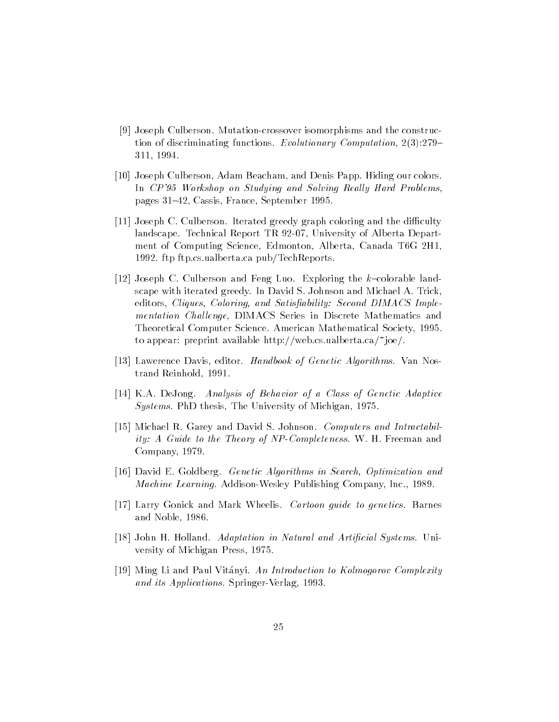- [9] Joseph Culberson. Mutation-crossover isomorphisms and the construction of discriminating functions Evolutionary Computation 311, 1994.
- [10] Joseph Culberson, Adam Beacham, and Denis Papp. Hiding our colors. In CP Workshop on Studying and Solving Real ly Hard Problems pages Cassis France September
- [11] Joseph C. Culberson. Iterated greedy graph coloring and the difficulty landscape Technical Report TR University of Alberta Depart ment of Computing Science Edmonton Alberta Canada TG H ftpcsualbertaca pubTechReportsualbertaca pubTechReportsualbertaca pubTechReportsualbertaca pubTechReportsualbe
- Joseph C Culberson and Feng Luo Exploring the kcolorable land scape with iterated greedy. In David S. Johnson and Michael A. Trick, editors Coloring-Coloring-Million Coloring-Coloring-Coloring-Second Dimacs Coloringmentation Challenge, DIMACS Series in Discrete Mathematics and Theoretical Computer Science. American Mathematical Society, 1995. to appear: preprint available http://web.cs.ualberta.ca/"joe/.
- [13] Lawerence Davis, editor. Handbook of Genetic Algorithms. Van Nostrand Reinhold
- [14] K.A. DeJong. Analysis of Behavior of a Class of Genetic Adaptive Systems. PhD thesis, The University of Michigan, 1975.
- [15] Michael R. Garey and David S. Johnson. Computers and Intractability: A Guide to the Theory of NP-Completeness. W. H. Freeman and Company, 1979.
- is a contract contract of the contract of the Search-Contract and Search-Contract and Search-Contract and Search *Machine Learning.* Addison-Wesley Publishing Company, Inc., 1989.
- [17] Larry Gonick and Mark Wheelis. Cartoon guide to genetics. Barnes and Noble, 1986.
- [18] John H. Holland. Adaptation in Natural and Artificial Systems. University of Michigan Press
- [19] Ming Li and Paul Vitányi. An Introduction to Kolmogorov Complexity and its Applications. Springer-Verlag, 1993.